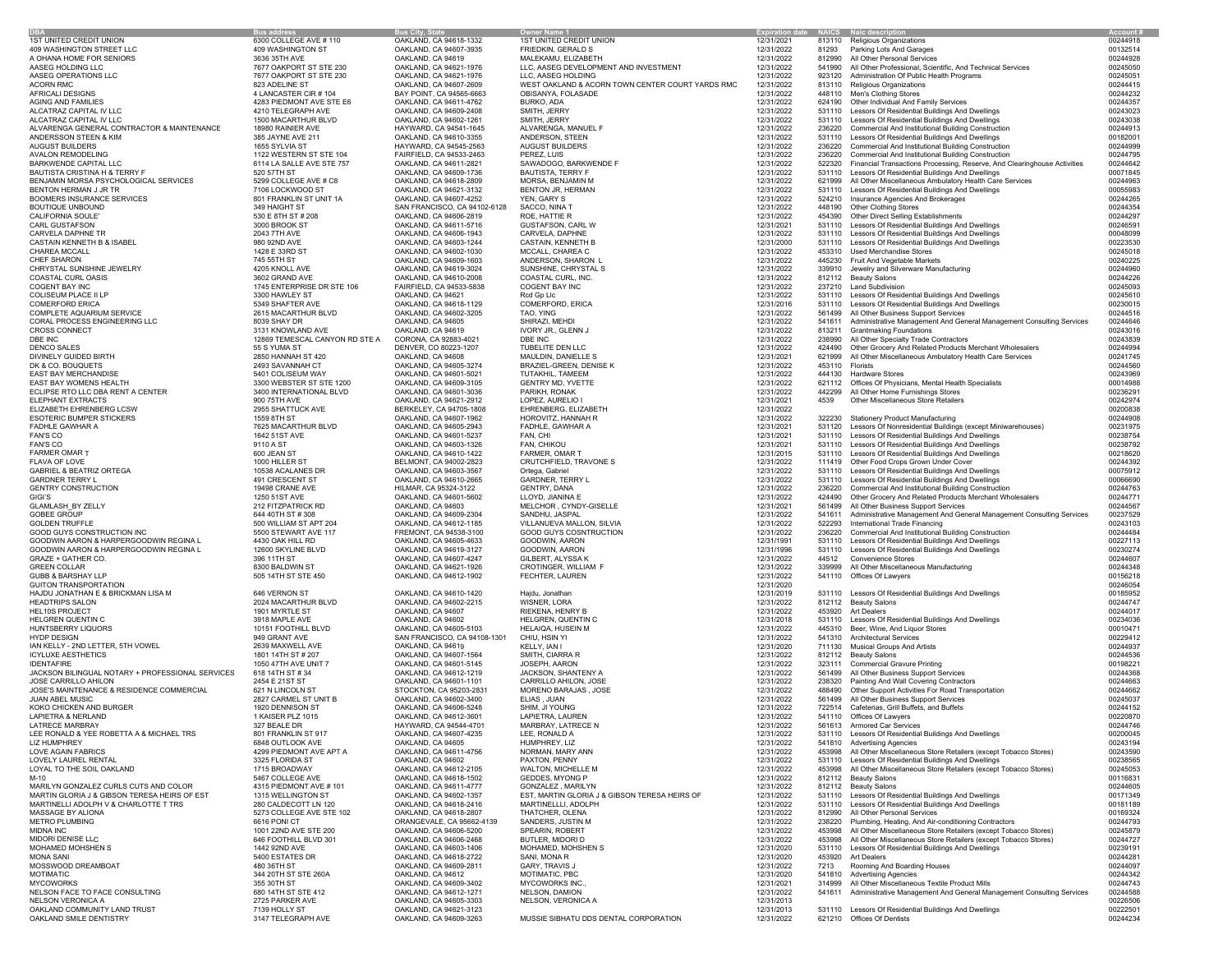|                                                  | <b>Bus addres</b>              | <b>Bus City, State</b>       | <b>Owner Name 1</b>                              |            |                 | <b>Expiration date NAICS Naic description</b>                                   | Account: |
|--------------------------------------------------|--------------------------------|------------------------------|--------------------------------------------------|------------|-----------------|---------------------------------------------------------------------------------|----------|
| 1ST UNITED CREDIT UNION                          | 6300 COLLEGE AVE # 110         | OAKLAND, CA 94618-1332       | 1ST UNITED CREDIT UNION                          | 12/31/2021 |                 | 813110 Religious Organizations                                                  | 00244918 |
| 409 WASHINGTON STREET LLC                        | 409 WASHINGTON ST              | OAKLAND, CA 94607-3935       | FRIEDKIN, GERALD S                               | 12/31/2022 |                 | 81293 Parking Lots And Garages                                                  | 00132514 |
| A OHANA HOME FOR SENIORS                         | 3636 35TH AVE                  | OAKLAND, CA 94619            | MALEKAMU, ELIZABETH                              | 12/31/2022 |                 | 812990 All Other Personal Services                                              | 00244928 |
| AASEG HOLDING LLC                                | 7677 OAKPORT ST STE 230        | OAKLAND, CA 94621-1976       | LLC, AASEG DEVELOPMENT AND INVESTMENT            | 12/31/2022 |                 | 541990 All Other Professional, Scientific, And Technical Services               | 00245050 |
| AASEG OPERATIONS LLC                             | 7677 OAKPORT ST STE 230        | OAKLAND, CA 94621-1976       | LLC. AASEG HOLDING                               | 12/31/2022 |                 | 923120 Administration Of Public Health Programs                                 | 00245051 |
| ACORN RMC                                        | 823 ADELINE ST                 | OAKLAND, CA 94607-2609       | WEST OAKLAND & ACORN TOWN CENTER COURT YARDS RMC | 12/31/2022 |                 | 813110 Religious Organizations                                                  | 00244415 |
| AFRICALI DESIGNS                                 | 4 LANCASTER CIR # 104          | BAY POINT, CA 94565-6663     | OBISANYA, FOLASADE                               | 12/31/2022 |                 | 448110 Men's Clothing Stores                                                    | 00244232 |
| AGING AND FAMILIES                               | 4283 PIEDMONT AVE STE E6       | OAKLAND, CA 94611-4762       | BURKO, ADA                                       | 12/31/2022 |                 | 624190 Other Individual And Family Services                                     | 00244357 |
| ALCATRAZ CAPITAL IV LLC                          | 4210 TELEGRAPH AVE             | OAKLAND, CA 94609-2408       | SMITH, JERRY                                     | 12/31/2022 |                 | 531110 Lessors Of Residential Buildings And Dwellings                           | 00243023 |
| ALCATRAZ CAPITAL IV LLC                          | 1500 MACARTHUR BLVD            | OAKLAND, CA 94602-1261       | SMITH, JERRY                                     | 12/31/2022 |                 | 531110 Lessors Of Residential Buildings And Dwellings                           | 00243038 |
| ALVARENGA GENERAL CONTRACTOR & MAINTENANCE       | 18980 RAINIER AVE              | HAYWARD, CA 94541-1645       | ALVARENGA, MANUEL F                              | 12/31/2022 |                 | 236220 Commercial And Institutional Building Construction                       | 00244913 |
| ANDERSSON STEEN & KIM                            | 385 JAYNE AVE 211              | OAKLAND, CA 94610-3355       | ANDERSON, STEEN                                  | 12/31/2022 |                 | 531110 Lessors Of Residential Buildings And Dwellings                           | 00182001 |
| AUGUST BUILDERS                                  | 1655 SYLVIA ST                 | HAYWARD, CA 94545-2563       | AUGUST BUILDERS                                  | 12/31/2022 |                 | 236220 Commercial And Institutional Building Construction                       | 00244999 |
| AVALON REMODELING                                | 1122 WESTERN ST STE 104        | FAIRFIELD, CA 94533-2463     | PEREZ, LUIS                                      | 12/31/2022 |                 | 236220 Commercial And Institutional Building Construction                       | 00244795 |
| BARKWENDE CAPITAL LLC                            | 6114 LA SALLE AVE STE 757      | OAKLAND, CA 94611-2821       | SAWADOGO, BARKWENDE F                            | 12/31/2022 |                 | 522320 Financial Transactions Processing, Reserve, And Clearinghouse Activities | 00244642 |
| BAUTISTA CRISTINA H & TERRY F                    | 520 57TH ST                    | OAKLAND, CA 94609-1736       | <b>BAUTISTA, TERRY F</b>                         | 12/31/2022 |                 | 531110 Lessors Of Residential Buildings And Dwellings                           | 00071845 |
| BENJAMIN MORSA PSYCHOLOGICAL SERVICES            | 5299 COLLEGE AVE # C8          | OAKLAND, CA 94618-2809       | MORSA, BENJAMIN M                                | 12/31/2022 |                 | 621999 All Other Miscellaneous Ambulatory Health Care Services                  | 00244963 |
| BENTON HERMAN J JR TR                            | 7106 LOCKWOOD ST               | OAKLAND, CA 94621-3132       | BENTON JR, HERMAN                                | 12/31/2022 |                 | 531110 Lessors Of Residential Buildings And Dwellings                           | 00055983 |
| BOOMERS INSURANCE SERVICES                       | 801 FRANKLIN ST UNIT 1A        | OAKLAND, CA 94607-4252       | YEN, GARY S                                      | 12/31/2022 |                 | 524210 Insurance Agencies And Brokerages                                        | 00244265 |
| BOUTIQUE UNBOUND                                 | 349 HAIGHT ST                  | SAN FRANCISCO, CA 94102-6128 | SACCO, NINA T                                    | 12/31/2022 |                 | 448190 Other Clothing Stores                                                    | 00244354 |
| CALIFORNIA SOULE'                                | 530 E 8TH ST # 208             | OAKLAND, CA 94606-2819       | ROE, HATTIE R                                    | 12/31/2022 |                 | 454390 Other Direct Selling Establishments                                      | 00244297 |
| CARL GUSTAFSON                                   | 3000 BROOK ST                  | OAKLAND, CA 94611-5716       | GUSTAFSON, CARL W                                | 12/31/2021 |                 | 531110 Lessors Of Residential Buildings And Dwellings                           | 00246591 |
| CARVELA DAPHNE TR                                | 2043 7TH AVE                   | OAKLAND, CA 94606-1943       | CARVELA, DAPHNE                                  | 12/31/2022 |                 | 531110 Lessors Of Residential Buildings And Dwellings                           | 00048099 |
| CASTAIN KENNETH B & ISABEL                       | 980 92ND AVE                   | OAKLAND, CA 94603-1244       | CASTAIN, KENNETH B                               | 12/31/2000 |                 | 531110 Lessors Of Residential Buildings And Dwellings                           | 00223530 |
| CHAREA MCCALL                                    | 1428 E 33RD ST                 | OAKLAND, CA 94602-1030       | MCCALL, CHAREA C                                 | 12/31/2022 |                 | 453310 Used Merchandise Stores                                                  | 00245018 |
| CHEF SHARON                                      | 745 55TH ST                    | OAKLAND, CA 94609-1603       | ANDERSON, SHARON L                               | 12/31/2022 |                 | 445230 Fruit And Vegetable Markets                                              | 00240225 |
| CHRYSTAL SUNSHINE JEWELRY                        | 4205 KNOLL AVE                 | OAKLAND, CA 94619-3024       | SUNSHINE, CHRYSTAL S                             | 12/31/2022 |                 | 339910 Jewelry and Silverware Manufacturing                                     | 00244960 |
| COASTAL CURL OASIS                               | 3602 GRAND AVE                 | OAKLAND, CA 94610-2008       | COASTAL CURL, INC.                               | 12/31/2022 |                 | 812112 Beauty Salons                                                            | 00244226 |
| <b>COGENT BAY INC</b>                            | 1745 ENTERPRISE DR STE 106     | FAIRFIELD, CA 94533-5838     | <b>COGENT BAY INC</b>                            | 12/31/2022 |                 | 237210 Land Subdivision                                                         | 00245093 |
| COLISEUM PLACE II LP                             | 3300 HAWLEY ST                 | OAKLAND, CA 94621            | Rcd Gp Llc                                       | 12/31/2022 |                 | 531110 Lessors Of Residential Buildings And Dwellings                           | 00245610 |
| COMERFORD ERICA                                  | 5349 SHAFTER AVE               | OAKLAND, CA 94618-1129       | COMERFORD, ERICA                                 | 12/31/2016 |                 | 531110 Lessors Of Residential Buildings And Dwellings                           | 00230015 |
| COMPLETE AQUARIUM SERVICE                        | 2615 MACARTHUR BLVD            | OAKLAND, CA 94602-3205       | TAO, YING                                        | 12/31/2022 |                 | 561499 All Other Business Support Services                                      | 00244516 |
| CORAL PROCESS ENGINEERING LLC                    | 8039 SHAY DR                   | OAKLAND, CA 94605            | SHIRAZI, MEHDI                                   | 12/31/2022 |                 | 541611 Administrative Management And General Management Consulting Services     | 00244646 |
| <b>CROSS CONNECT</b>                             | 3131 KNOWLAND AVE              | OAKLAND, CA 94619            | IVORY JR., GLENN J                               | 12/31/2022 |                 | 813211 Grantmaking Foundations                                                  | 00243016 |
| DBE INC                                          | 12869 TEMESCAL CANYON RD STE A | CORONA, CA 92883-4021        | DBE INC                                          | 12/31/2022 |                 | 238990 All Other Specialty Trade Contractors                                    | 00243839 |
| DENCO SALES                                      | 55 S YUMA ST                   | DENVER, CO 80223-1207        | TUBELITE DEN LLC                                 | 12/31/2022 | 424490          | Other Grocery And Related Products Merchant Wholesalers                         | 00244994 |
| DIVINELY GUIDED BIRTH                            | 2850 HANNAH ST 420             | OAKLAND, CA 94608            | MAULDIN, DANIELLE S                              | 12/31/2021 |                 | 621999 All Other Miscellaneous Ambulatory Health Care Services                  | 00241745 |
| DK & CO. BOUQUETS                                | 2493 SAVANNAH CT               | OAKLAND, CA 94605-3274       | BRAZIEL-GREEN, DENISE K                          | 12/31/2022 | 453110 Florists |                                                                                 | 00244560 |
| EAST BAY MERCHANDISE                             | 5401 COLISEUM WAY              | OAKLAND, CA 94601-5021       | TUTAKHIL, TAMEEM                                 | 12/31/2022 |                 | 444130 Hardware Stores                                                          | 00243969 |
| EAST BAY WOMENS HEALTH                           | 3300 WEBSTER ST STE 1200       | OAKLAND, CA 94609-3105       | <b>GENTRY MD, YVETTE</b>                         | 12/31/2022 |                 | 621112 Offices Of Physicians, Mental Health Specialists                         | 00014988 |
| ECLIPSE RTO LLC DBA RENT A CENTER                | 3400 INTERNATIONAL BLVD        | OAKLAND, CA 94601-3036       | PARIKH, RONAK                                    | 12/31/2022 | 442299          | All Other Home Furnishings Stores                                               | 00236291 |
| ELEPHANT EXTRACTS                                | 900 75TH AVE                   | OAKLAND, CA 94621-2912       | LOPEZ, AURELIO I                                 | 12/31/2021 | 4539            | Other Miscellaneous Store Retailers                                             | 00242974 |
| ELIZABETH EHRENBERG LCSW                         | 2955 SHATTUCK AVE              | BERKELEY, CA 94705-1808      | EHRENBERG, ELIZABETH                             | 12/31/2022 |                 |                                                                                 | 00200838 |
| ESOTERIC BUMPER STICKERS                         | 1559 8TH ST                    | OAKLAND, CA 94607-1962       | HOROVITZ, HANNAH R                               | 12/31/2022 |                 | 322230 Stationery Product Manufacturing                                         | 00244908 |
| FADHLE GAWHAR A                                  | 7625 MACARTHUR BLVD            | OAKLAND, CA 94605-2943       | FADHLE, GAWHAR A                                 | 12/31/2021 |                 | 531120 Lessors Of Nonresidential Buildings (except Miniwarehouses)              | 00231975 |
| <b>FAN'S CO</b>                                  | 1642 51ST AVE                  | OAKLAND, CA 94601-5237       | FAN, CHI                                         | 12/31/2021 |                 | 531110 Lessors Of Residential Buildings And Dwellings                           | 00238754 |
| FAN'S CO                                         | 9110 A ST                      | OAKLAND, CA 94603-1326       | FAN, CHIKOU                                      | 12/31/2021 |                 | 531110 Lessors Of Residential Buildings And Dwellings                           | 00238792 |
| <b>FARMER OMAR T</b>                             | 600 JEAN ST                    | OAKLAND, CA 94610-1422       | FARMER, OMAR T                                   | 12/31/2015 |                 | 531110 Lessors Of Residential Buildings And Dwellings                           | 00218620 |
| FLAVA OF LOVE                                    | 1000 HILLER ST                 | BELMONT, CA 94002-2823       | CRUTCHFIELD, TRAVONE S                           | 12/31/2022 |                 | 111419 Other Food Crops Grown Under Cover                                       | 00244392 |
| <b>GABRIEL &amp; BEATRIZ ORTEGA</b>              | 10538 ACALANES DR              | OAKLAND, CA 94603-3567       | Ortega, Gabriel                                  | 12/31/2022 |                 | 531110 Lessors Of Residential Buildings And Dwellings                           | 00075912 |
| GARDNER TERRY L                                  | 491 CRESCENT ST                | OAKLAND, CA 94610-2665       | GARDNER, TERRY L                                 | 12/31/2022 |                 | 531110 Lessors Of Residential Buildings And Dwellings                           | 00066690 |
| GENTRY CONSTRUCTION                              | 19498 CRANE AVE                | HILMAR, CA 95324-3122        | GENTRY, DANA                                     | 12/31/2022 |                 | 236220 Commercial And Institutional Building Construction                       | 00244763 |
| GIGI'S                                           | 1250 51ST AVE                  | OAKLAND, CA 94601-5602       | LLOYD, JIANINA E                                 | 12/31/2022 |                 | 424490 Other Grocery And Related Products Merchant Wholesalers                  | 00244771 |
| <b>GLAMLASH BY ZELLY</b>                         | 212 FITZPATRICK RD             | OAKLAND, CA 94603            | MELCHOR, CYNDY-GISELLE                           | 12/31/2021 |                 | 561499 All Other Business Support Services                                      | 00244567 |
| <b>GOBEE GROUP</b>                               | 644 40TH ST # 308              | OAKLAND, CA 94609-2304       | SANDHU, JASPAL                                   | 12/31/2022 |                 | 541611 Administrative Management And General Management Consulting Services     | 00237529 |
| <b>GOLDEN TRUFFLE</b>                            | 500 WILLIAM ST APT 204         | OAKLAND, CA 94612-1185       | VILLANUEVA MALLON, SILVIA                        | 12/31/2022 |                 | 522293 International Trade Financing                                            | 00243103 |
| GOOD GUYS CONSTRUCTION INC                       | 5500 STEWART AVE 117           | FREMONT, CA 94538-3100       | GOOD GUYS COSNTRUCTION                           | 12/31/2022 |                 | 236220 Commercial And Institutional Building Construction                       | 00244484 |
| GOODWIN AARON & HARPERGOODWIN REGINA L           | 4430 OAK HILL RD               | OAKLAND, CA 94605-4633       | GOODWIN, AARON                                   | 12/31/1991 |                 | 531110 Lessors Of Residential Buildings And Dwellings                           | 00227113 |
| GOODWIN AARON & HARPERGOODWIN REGINA L           | 12600 SKYLINE BLVD             | OAKLAND, CA 94619-3127       | GOODWIN, AARON                                   | 12/31/1996 |                 | 531110 Lessors Of Residential Buildings And Dwellings                           | 00230274 |
| GRAZE + GATHER CO.                               | 396 11TH ST                    | OAKLAND, CA 94607-4247       | GILBERT, ALYSSA K                                | 12/31/2022 | 44512           | <b>Convenience Stores</b>                                                       | 00244607 |
| <b>GREEN COLLAR</b>                              | 8300 BALDWIN ST                | OAKLAND, CA 94621-1926       | CROTINGER, WILLIAM F                             | 12/31/2022 |                 | 339999 All Other Miscellaneous Manufacturing                                    | 00244348 |
| GUBB & BARSHAY LLF                               | 505 14TH ST STE 450            | OAKLAND, CA 94612-1902       | FECHTER, LAUREN                                  | 12/31/2022 |                 | 541110 Offices Of Lawyers                                                       | 00156218 |
| GUITON TRANSPORTATION                            |                                |                              |                                                  | 12/31/2020 |                 |                                                                                 | 00246054 |
| HAJDU JONATHAN E & BRICKMAN LISA M               | 646 VERNON ST                  | OAKLAND, CA 94610-1420       | Hajdu, Jonathan                                  | 12/31/2019 |                 | 531110 Lessors Of Residential Buildings And Dwellings                           | 00185952 |
| <b>HEADTRIPS SALON</b>                           | 2024 MACARTHUR BLVD            | OAKLAND, CA 94602-2215       | WISNER, LORA                                     | 12/31/2022 |                 | 812112 Beauty Salons                                                            | 00244747 |
| <b>HEL10S PROJECT</b>                            | 1901 MYRTLE ST                 | OAKLAND, CA 94607            | RIEKENA, HENRY B                                 | 12/31/2022 |                 | 453920 Art Dealers                                                              | 00244017 |
| HELGREN QUENTIN C                                | 3918 MAPLE AVE                 | OAKLAND, CA 94602            | HELGREN, QUENTIN C                               | 12/31/2018 |                 | 531110 Lessors Of Residential Buildings And Dwellings                           | 00234036 |
| HUNTSBERRY LIQUORS                               | 10151 FOOTHILL BLVD            | OAKLAND, CA 94605-5103       | HELAIQA, HUSEIN M                                | 12/31/2022 |                 | 445310 Beer, Wine, And Liquor Stores                                            | 00010471 |
| HYDP DESIGN                                      | 949 GRANT AVE                  | SAN FRANCISCO, CA 94108-1301 | CHIU, HSIN YI                                    | 12/31/2022 |                 | 541310 Architectural Services                                                   | 00229412 |
| IAN KELLY - 2ND LETTER, 5TH VOWEL                | 2639 MAXWELL AVE               | OAKLAND, CA 94619            | KELLY, IAN I                                     | 12/31/2020 |                 | 711130 Musical Groups And Artists                                               | 00244937 |
| <b>ICYLUXE AESTHETICS</b>                        | 1801 14TH ST # 207             | OAKLAND, CA 94607-1564       | SMITH, CIARRA R                                  | 12/31/2022 |                 | 812112 Beauty Salons                                                            | 00244536 |
| IDENTAFIRE                                       | 1050 47TH AVE UNIT 7           | OAKLAND, CA 94601-5145       | JOSEPH, AARON                                    | 12/31/2022 |                 | 323111 Commercial Gravure Printing                                              | 00198221 |
| JACKSON BILINGUAL NOTARY + PROFESSIONAL SERVICES | 618 14TH ST #34                | OAKLAND, CA 94612-1219       | JACKSON, SHANTENY A                              | 12/31/2022 |                 | 561499 All Other Business Support Services                                      | 00244368 |
| JOSÉ CARRILLO AHILON                             | 2454 E 21ST ST                 | OAKLAND, CA 94601-1101       | CARRILLO AHILON, JOSE                            | 12/31/2022 |                 | 238320 Painting And Wall Covering Contractors                                   | 00244663 |
| JOSE'S MAINTENANCE & RESIDENCE COMMERCIAL        | 621 N LINCOLN ST               | STOCKTON, CA 95203-2831      | MORENO BARAJAS, JOSE                             | 12/31/2022 |                 | 488490 Other Support Activities For Road Transportation                         | 00244662 |
| JUAN ABEL MUSIC                                  | 2827 CARMEL ST UNIT B          | OAKLAND, CA 94602-3400       | ELIAS, JUAN                                      | 12/31/2022 |                 | 561499 All Other Business Support Services                                      | 00245037 |
| KOKO CHICKEN AND BURGER                          | 1920 DENNISON ST               | OAKLAND, CA 94606-5248       | SHIM, JI YOUNG                                   | 12/31/2022 |                 | 722514 Cafeterias, Grill Buffets, and Buffets                                   | 00244152 |
| LAPIETRA & NERLAND                               | 1 KAISER PLZ 1015              | OAKLAND, CA 94612-3601       | LAPIETRA, LAUREN                                 | 12/31/2022 |                 | 541110 Offices Of Lawyers                                                       | 00220870 |
| LATRECE MARBRAY                                  | 327 BEALE DR                   | HAYWARD, CA 94544-4701       | MARBRAY, LATRECE N                               | 12/31/2022 |                 | 561613 Armored Car Services                                                     | 00244746 |
| LEE RONALD & YEE ROBETTA A & MICHAEL TRS         | 801 FRANKLIN ST 917            | OAKLAND, CA 94607-4235       | LEE, RONALD A                                    | 12/31/2022 |                 | 531110 Lessors Of Residential Buildings And Dwellings                           | 00200045 |
| LIZ HUMPHREY                                     | 6848 OUTLOOK AVE               | OAKLAND, CA 94605            | HUMPHREY, LIZ                                    | 12/31/2022 |                 | 541810 Advertising Agencies                                                     | 00243194 |
| LOVE AGAIN FABRICS                               | 4299 PIEDMONT AVE APT A        | OAKLAND, CA 94611-4756       | NORMAN, MARY ANN                                 | 12/31/2022 |                 | 453998 All Other Miscellaneous Store Retailers (except Tobacco Stores)          | 00243590 |
| LOVELY LAUREL RENTAL                             | 3325 FLORIDA ST                | OAKLAND, CA 94602            | PAXTON, PENNY                                    | 12/31/2022 |                 | 531110 Lessors Of Residential Buildings And Dwellings                           | 00238565 |
| LOYAL TO THE SOIL OAKLAND                        | 1715 BROADWAY                  | OAKLAND, CA 94612-2105       | WALTON, MICHELLE M                               | 12/31/2022 |                 | 453998 All Other Miscellaneous Store Retailers (except Tobacco Stores)          | 00245053 |
| M-10                                             | 5467 COLLEGE AVE               | OAKLAND, CA 94618-1502       | GEDDES, MYONG P                                  | 12/31/2022 |                 | 812112 Beauty Salons                                                            | 00116831 |
| MARILYN GONZALEZ CURLS CUTS AND COLOR            | 4315 PIEDMONT AVE # 101        | OAKLAND, CA 94611-4777       | GONZÁLEZ, MARILYN                                | 12/31/2022 |                 | 812112 Beauty Salons                                                            | 00244605 |
| MARTIN GLORIA J & GIBSON TERESA HEIRS OF EST     | 1315 WELLINGTON ST             | OAKLAND, CA 94602-1357       | EST, MARTIN GLORIA J & GIBSON TERESA HEIRS OF    | 12/31/2022 |                 | 531110 Lessors Of Residential Buildings And Dwellings                           | 00171349 |
| MARTINELLI ADOLPH V & CHARLOTTE T TRS            | 280 CALDECOTT LN 120           | OAKLAND, CA 94618-2416       | MARTINELLLI, ADOLPH                              | 12/31/2022 |                 | 531110 Lessors Of Residential Buildings And Dwellings                           | 00181189 |
| MASSAGE BY ALIONA                                | 5273 COLLEGE AVE STE 102       | OAKLAND, CA 94618-2807       | THATCHER, OLENA                                  | 12/31/2022 |                 | 812990 All Other Personal Services                                              | 00169324 |
| METRO PLUMBING                                   | 6616 PONI CT                   | ORANGEVALE, CA 95662-4139    | SANDERS, JUSTIN M                                | 12/31/2022 |                 | 238220 Plumbing, Heating, And Air-conditioning Contractors                      | 00244793 |
| <b>MIDNA INC</b>                                 | 1001 22ND AVE STE 200          | OAKLAND, CA 94606-5200       | SPEARIN, ROBERT                                  | 12/31/2022 |                 | 453998 All Other Miscellaneous Store Retailers (except Tobacco Stores)          | 00245879 |
| MIDORI DENISE LLC                                | 646 FOOTHILL BLVD 301          | OAKLAND, CA 94606-2468       | BUTLER, MIDORI D                                 | 12/31/2022 |                 | 453998 All Other Miscellaneous Store Retailers (except Tobacco Stores)          | 00244727 |
| MOHAMED MOHSHEN S                                | 1442 92ND AVE                  | OAKLAND, CA 94603-1406       | MOHAMED, MOHSHEN S                               | 12/31/2020 |                 | 531110 Lessors Of Residential Buildings And Dwellings                           | 00239191 |
| <b>MONA SANI</b>                                 | 5400 ESTATES DR                | OAKLAND, CA 94618-2722       | SANI, MONA R                                     | 12/31/2020 |                 | 453920 Art Dealers                                                              | 00244281 |
| MOSSWOOD DREAMBOAT                               | 480 36TH ST                    | OAKLAND, CA 94609-2811       | GARY, TRAVIS J                                   | 12/31/2022 | 7213            | Rooming And Boarding Houses                                                     | 00244097 |
| MOTIMATIC                                        | 344 20TH ST STE 260A           | OAKLAND, CA 94612            | MOTIMATIC, PBC                                   | 12/31/2020 |                 | 541810 Advertising Agencies                                                     | 00244342 |
| MYCOWORKS                                        | 355 30TH ST                    | OAKLAND, CA 94609-3402       | MYCOWORKS INC.                                   | 12/31/2021 |                 | 314999 All Other Miscellaneous Textile Product Mills                            | 00244743 |
| NELSON FACE TO FACE CONSULTING                   | 680 14TH ST STE 412            | OAKLAND, CA 94612-1271       | NELSON, DAMION                                   | 12/31/2022 |                 | 541611 Administrative Management And General Management Consulting Services     | 00244588 |
| NELSON VERONICA A                                | 2725 PARKER AVE                | OAKLAND, CA 94605-3303       | NELSON, VERONICA A                               | 12/31/2013 |                 |                                                                                 | 00226506 |
| OAKLAND COMMUNITY LAND TRUST                     | 7139 HOLLY ST                  | OAKLAND, CA 94621-3123       |                                                  | 12/31/2013 |                 | 531110 Lessors Of Residential Buildings And Dwellings                           | 00222501 |
| OAKLAND SMILE DENTISTRY                          | 3147 TELEGRAPH AVE             | OAKLAND, CA 94609-3263       | MUSSIE SIBHATU DDS DENTAL CORPORATION            | 12/31/2022 |                 | 621210 Offices Of Dentists                                                      | 00244234 |
|                                                  |                                |                              |                                                  |            |                 |                                                                                 |          |